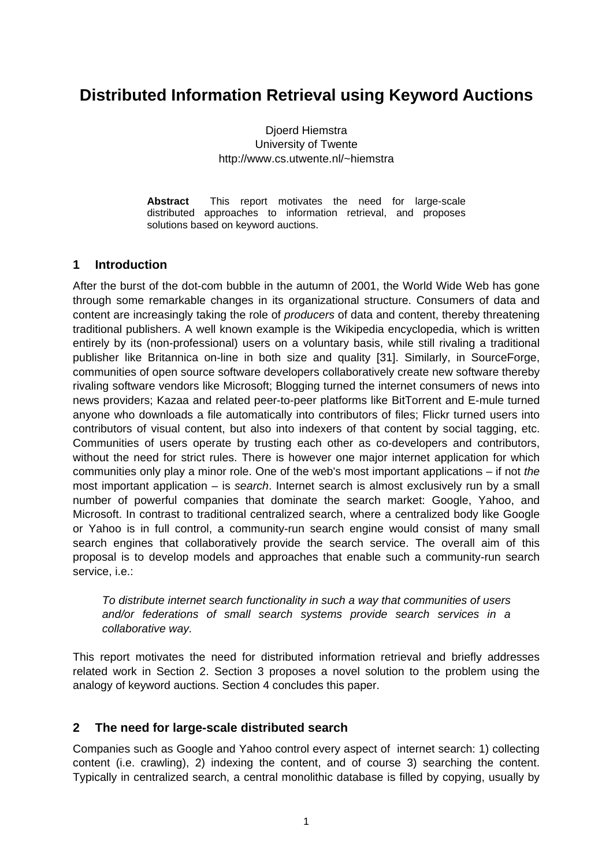# **Distributed Information Retrieval using Keyword Auctions**

Djoerd Hiemstra University of Twente http://www.cs.utwente.nl/~hiemstra

**Abstract** This report motivates the need for large-scale distributed approaches to information retrieval, and proposes solutions based on keyword auctions.

### **1 Introduction**

After the burst of the dot-com bubble in the autumn of 2001, the World Wide Web has gone through some remarkable changes in its organizational structure. Consumers of data and content are increasingly taking the role of *producers* of data and content, thereby threatening traditional publishers. A well known example is the Wikipedia encyclopedia, which is written entirely by its (non-professional) users on a voluntary basis, while still rivaling a traditional publisher like Britannica on-line in both size and quality [\[31\]](#page-8-0). Similarly, in SourceForge, communities of open source software developers collaboratively create new software thereby rivaling software vendors like Microsoft; Blogging turned the internet consumers of news into news providers; Kazaa and related peer-to-peer platforms like BitTorrent and E-mule turned anyone who downloads a file automatically into contributors of files; Flickr turned users into contributors of visual content, but also into indexers of that content by social tagging, etc. Communities of users operate by trusting each other as co-developers and contributors, without the need for strict rules. There is however one major internet application for which communities only play a minor role. One of the web's most important applications – if not *the*  most important application – is *search*. Internet search is almost exclusively run by a small number of powerful companies that dominate the search market: Google, Yahoo, and Microsoft. In contrast to traditional centralized search, where a centralized body like Google or Yahoo is in full control, a community-run search engine would consist of many small search engines that collaboratively provide the search service. The overall aim of this proposal is to develop models and approaches that enable such a community-run search service, i.e.:

*To distribute internet search functionality in such a way that communities of users and/or federations of small search systems provide search services in a collaborative way.* 

This report motivates the need for distributed information retrieval and briefly addresses related work in Section [2](#page-0-0). Section [3](#page-3-0) proposes a novel solution to the problem using the analogy of keyword auctions. Section [4](#page-5-0) concludes this paper.

### <span id="page-0-0"></span>**2 The need for large-scale distributed search**

Companies such as Google and Yahoo control every aspect of internet search: 1) collecting content (i.e. crawling), 2) indexing the content, and of course 3) searching the content. Typically in centralized search, a central monolithic database is filled by copying, usually by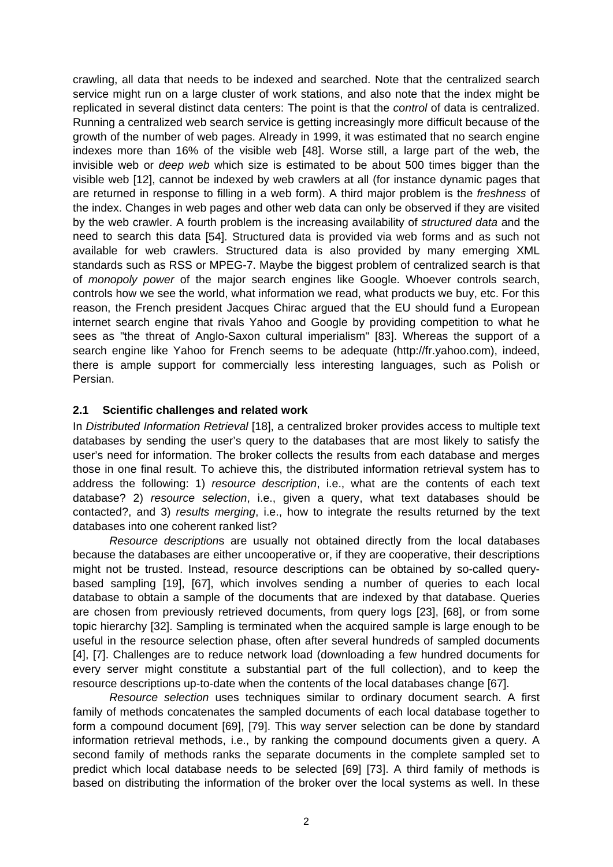crawling, all data that needs to be indexed and searched. Note that the centralized search service might run on a large cluster of work stations, and also note that the index might be replicated in several distinct data centers: The point is that the *control* of data is centralized. Running a centralized web search service is getting increasingly more difficult because of the growth of the number of web pages. Already in 1999, it was estimated that no search engine indexes more than 16% of the visible web [\[48\]](#page-8-1). Worse still, a large part of the web, the invisible web or *deep web* which size is estimated to be about 500 times bigger than the visible web [\[12\],](#page-7-0) cannot be indexed by web crawlers at all (for instance dynamic pages that are returned in response to filling in a web form). A third major problem is the *freshness* of the index. Changes in web pages and other web data can only be observed if they are visited by the web crawler. A fourth problem is the increasing availability of *structured data* and the need to search this data [\[54\].](#page-9-0) Structured data is provided via web forms and as such not available for web crawlers. Structured data is also provided by many emerging XML standards such as RSS or MPEG-7. Maybe the biggest problem of centralized search is that of *monopoly power* of the major search engines like Google. Whoever controls search, controls how we see the world, what information we read, what products we buy, etc. For this reason, the French president Jacques Chirac argued that the EU should fund a European internet search engine that rivals Yahoo and Google by providing competition to what he sees as "the threat of Anglo-Saxon cultural imperialism" [\[83\].](#page-10-0) Whereas the support of a search engine like Yahoo for French seems to be adequate (http://fr.yahoo.com), indeed, there is ample support for commercially less interesting languages, such as Polish or Persian.

#### **2.1 Scientific challenges and related work**

In *Distributed Information Retrieval* [\[18\]](#page-7-1), a centralized broker provides access to multiple text databases by sending the user's query to the databases that are most likely to satisfy the user's need for information. The broker collects the results from each database and merges those in one final result. To achieve this, the distributed information retrieval system has to address the following: 1) *resource description*, i.e., what are the contents of each text database? 2) *resource selection*, i.e., given a query, what text databases should be contacted?, and 3) *results merging*, i.e., how to integrate the results returned by the text databases into one coherent ranked list?

*Resource description*s are usually not obtained directly from the local databases because the databases are either uncooperative or, if they are cooperative, their descriptions might not be trusted. Instead, resource descriptions can be obtained by so-called querybased sampling [\[19\],](#page-7-2) [\[67\],](#page-9-1) which involves sending a number of queries to each local database to obtain a sample of the documents that are indexed by that database. Queries are chosen from previously retrieved documents, from query logs [\[23\]](#page-7-3), [\[68\]](#page-9-2), or from some topic hierarchy [\[32\].](#page-8-2) Sampling is terminated when the acquired sample is large enough to be useful in the resource selection phase, often after several hundreds of sampled documents [\[4\]](#page-6-0), [\[7\].](#page-7-4) Challenges are to reduce network load (downloading a few hundred documents for every server might constitute a substantial part of the full collection), and to keep the resource descriptions up-to-date when the contents of the local databases change [\[67\].](#page-9-1)

*Resource selection* uses techniques similar to ordinary document search. A first family of methods concatenates the sampled documents of each local database together to form a compound document [\[69\]](#page-10-1), [\[79\].](#page-10-2) This way server selection can be done by standard information retrieval methods, i.e., by ranking the compound documents given a query. A second family of methods ranks the separate documents in the complete sampled set to predict which local database needs to be selected [\[69\]](#page-10-1) [\[73\].](#page-10-3) A third family of methods is based on distributing the information of the broker over the local systems as well. In these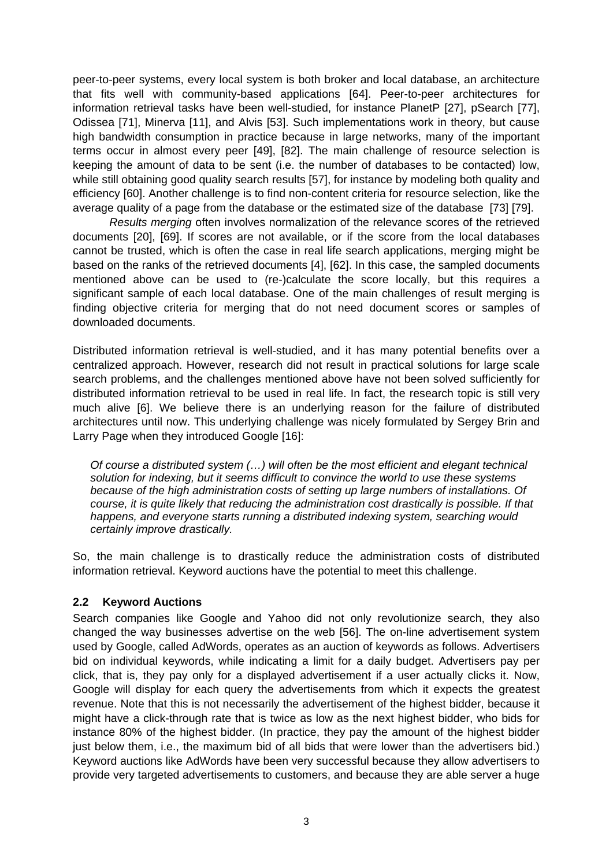peer-to-peer systems, every local system is both broker and local database, an architecture that fits well with community-based applications [\[64\].](#page-9-3) Peer-to-peer architectures for information retrieval tasks have been well-studied, for instance PlanetP [\[27\]](#page-8-3), pSearch [\[77\]](#page-10-4), Odissea [\[71\],](#page-10-5) Minerva [\[11\]](#page-7-5), and Alvis [\[53\].](#page-9-4) Such implementations work in theory, but cause high bandwidth consumption in practice because in large networks, many of the important terms occur in almost every peer [\[49\],](#page-9-5) [\[82\]](#page-10-6). The main challenge of resource selection is keeping the amount of data to be sent (i.e. the number of databases to be contacted) low, while still obtaining good quality search results [\[57\]](#page-9-6), for instance by modeling both quality and efficiency [\[60\]](#page-9-7). Another challenge is to find non-content criteria for resource selection, like the average quality of a page from the database or the estimated size of the database [\[73\]](#page-10-3) [\[79\].](#page-10-2)

*Results merging* often involves normalization of the relevance scores of the retrieved documents [\[20\],](#page-7-6) [\[69\]](#page-10-1). If scores are not available, or if the score from the local databases cannot be trusted, which is often the case in real life search applications, merging might be based on the ranks of the retrieved documents [\[4\]](#page-6-0), [\[62\].](#page-9-8) In this case, the sampled documents mentioned above can be used to (re-)calculate the score locally, but this requires a significant sample of each local database. One of the main challenges of result merging is finding objective criteria for merging that do not need document scores or samples of downloaded documents.

Distributed information retrieval is well-studied, and it has many potential benefits over a centralized approach. However, research did not result in practical solutions for large scale search problems, and the challenges mentioned above have not been solved sufficiently for distributed information retrieval to be used in real life. In fact, the research topic is still very much alive [\[6\]](#page-7-7). We believe there is an underlying reason for the failure of distributed architectures until now. This underlying challenge was nicely formulated by Sergey Brin and Larry Page when they introduced Google [\[16\]](#page-7-8):

*Of course a distributed system (…) will often be the most efficient and elegant technical solution for indexing, but it seems difficult to convince the world to use these systems because of the high administration costs of setting up large numbers of installations. Of course, it is quite likely that reducing the administration cost drastically is possible. If that happens, and everyone starts running a distributed indexing system, searching would certainly improve drastically.* 

So, the main challenge is to drastically reduce the administration costs of distributed information retrieval. Keyword auctions have the potential to meet this challenge.

### **2.2 Keyword Auctions**

Search companies like Google and Yahoo did not only revolutionize search, they also changed the way businesses advertise on the web [\[56\]](#page-9-9). The on-line advertisement system used by Google, called AdWords, operates as an auction of keywords as follows. Advertisers bid on individual keywords, while indicating a limit for a daily budget. Advertisers pay per click, that is, they pay only for a displayed advertisement if a user actually clicks it. Now, Google will display for each query the advertisements from which it expects the greatest revenue. Note that this is not necessarily the advertisement of the highest bidder, because it might have a click-through rate that is twice as low as the next highest bidder, who bids for instance 80% of the highest bidder. (In practice, they pay the amount of the highest bidder just below them, i.e., the maximum bid of all bids that were lower than the advertisers bid.) Keyword auctions like AdWords have been very successful because they allow advertisers to provide very targeted advertisements to customers, and because they are able server a huge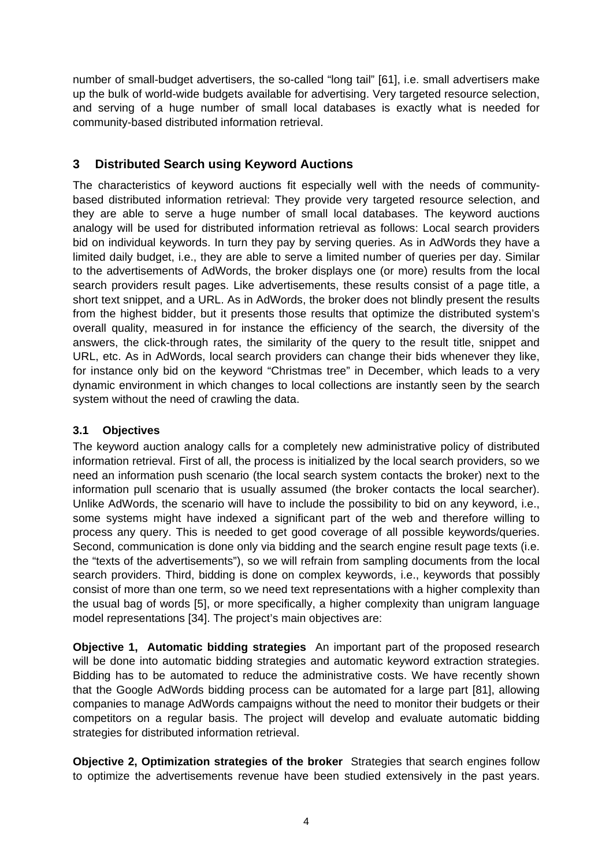number of small-budget advertisers, the so-called "long tail" [\[61\],](#page-9-10) i.e. small advertisers make up the bulk of world-wide budgets available for advertising. Very targeted resource selection, and serving of a huge number of small local databases is exactly what is needed for community-based distributed information retrieval.

## <span id="page-3-0"></span>**3 Distributed Search using Keyword Auctions**

The characteristics of keyword auctions fit especially well with the needs of communitybased distributed information retrieval: They provide very targeted resource selection, and they are able to serve a huge number of small local databases. The keyword auctions analogy will be used for distributed information retrieval as follows: Local search providers bid on individual keywords. In turn they pay by serving queries. As in AdWords they have a limited daily budget, i.e., they are able to serve a limited number of queries per day. Similar to the advertisements of AdWords, the broker displays one (or more) results from the local search providers result pages. Like advertisements, these results consist of a page title, a short text snippet, and a URL. As in AdWords, the broker does not blindly present the results from the highest bidder, but it presents those results that optimize the distributed system's overall quality, measured in for instance the efficiency of the search, the diversity of the answers, the click-through rates, the similarity of the query to the result title, snippet and URL, etc. As in AdWords, local search providers can change their bids whenever they like, for instance only bid on the keyword "Christmas tree" in December, which leads to a very dynamic environment in which changes to local collections are instantly seen by the search system without the need of crawling the data.

#### **3.1 Objectives**

The keyword auction analogy calls for a completely new administrative policy of distributed information retrieval. First of all, the process is initialized by the local search providers, so we need an information push scenario (the local search system contacts the broker) next to the information pull scenario that is usually assumed (the broker contacts the local searcher). Unlike AdWords, the scenario will have to include the possibility to bid on any keyword, i.e., some systems might have indexed a significant part of the web and therefore willing to process any query. This is needed to get good coverage of all possible keywords/queries. Second, communication is done only via bidding and the search engine result page texts (i.e. the "texts of the advertisements"), so we will refrain from sampling documents from the local search providers. Third, bidding is done on complex keywords, i.e., keywords that possibly consist of more than one term, so we need text representations with a higher complexity than the usual bag of words [\[5\],](#page-7-9) or more specifically, a higher complexity than unigram language model representations [\[34\]](#page-8-4). The project's main objectives are:

**Objective 1, Automatic bidding strategies** An important part of the proposed research will be done into automatic bidding strategies and automatic keyword extraction strategies. Bidding has to be automated to reduce the administrative costs. We have recently shown that the Google AdWords bidding process can be automated for a large part [\[81\]](#page-10-7), allowing companies to manage AdWords campaigns without the need to monitor their budgets or their competitors on a regular basis. The project will develop and evaluate automatic bidding strategies for distributed information retrieval.

**Objective 2, Optimization strategies of the broker** Strategies that search engines follow to optimize the advertisements revenue have been studied extensively in the past years.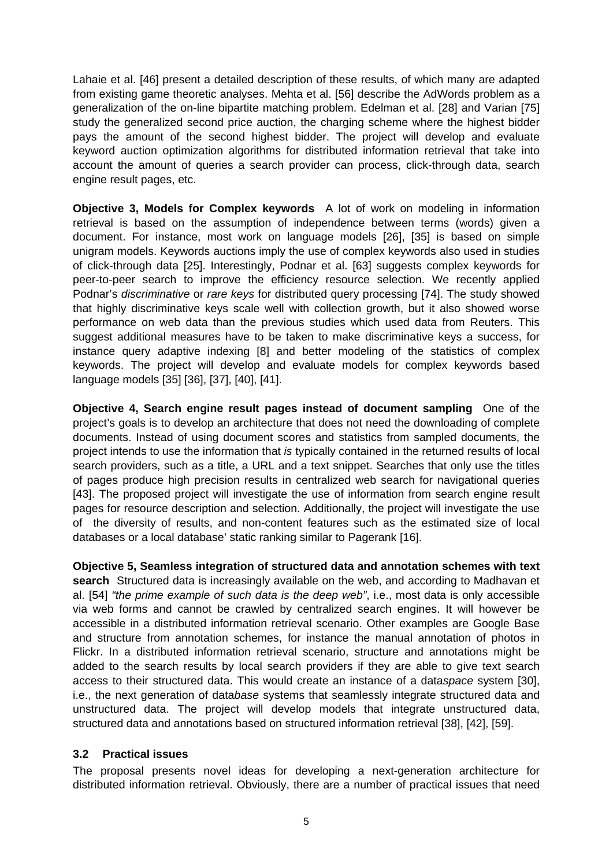Lahaie et al. [\[46\]](#page-8-5) present a detailed description of these results, of which many are adapted from existing game theoretic analyses. Mehta et al. [\[56\]](#page-9-9) describe the AdWords problem as a generalization of the on-line bipartite matching problem. Edelman et al. [\[28\]](#page-8-6) and Varian [\[75\]](#page-10-8) study the generalized second price auction, the charging scheme where the highest bidder pays the amount of the second highest bidder. The project will develop and evaluate keyword auction optimization algorithms for distributed information retrieval that take into account the amount of queries a search provider can process, click-through data, search engine result pages, etc.

**Objective 3, Models for Complex keywords** A lot of work on modeling in information retrieval is based on the assumption of independence between terms (words) given a document. For instance, most work on language models [\[26\]](#page-7-10), [\[35\]](#page-8-7) is based on simple unigram models. Keywords auctions imply the use of complex keywords also used in studies of click-through data [\[25\].](#page-7-11) Interestingly, Podnar et al. [\[63\]](#page-9-11) suggests complex keywords for peer-to-peer search to improve the efficiency resource selection. We recently applied Podnar's *discriminative* or *rare keys* for distributed query processing [\[74\].](#page-10-9) The study showed that highly discriminative keys scale well with collection growth, but it also showed worse performance on web data than the previous studies which used data from Reuters. This suggest additional measures have to be taken to make discriminative keys a success, for instance query adaptive indexing [\[8\]](#page-7-12) and better modeling of the statistics of complex keywords. The project will develop and evaluate models for complex keywords based language models [\[35\]](#page-8-7) [\[36\],](#page-8-8) [\[37\]](#page-8-9), [\[40\]](#page-8-10), [\[41\].](#page-8-11)

**Objective 4, Search engine result pages instead of document sampling** One of the project's goals is to develop an architecture that does not need the downloading of complete documents. Instead of using document scores and statistics from sampled documents, the project intends to use the information that *is* typically contained in the returned results of local search providers, such as a title, a URL and a text snippet. Searches that only use the titles of pages produce high precision results in centralized web search for navigational queries [\[43\]](#page-8-12). The proposed project will investigate the use of information from search engine result pages for resource description and selection. Additionally, the project will investigate the use of the diversity of results, and non-content features such as the estimated size of local databases or a local database' static ranking similar to Pagerank [\[16\].](#page-7-8)

**Objective 5, Seamless integration of structured data and annotation schemes with text search** Structured data is increasingly available on the web, and according to Madhavan et al. [\[54\]](#page-9-0) *"the prime example of such data is the deep web"*, i.e., most data is only accessible via web forms and cannot be crawled by centralized search engines. It will however be accessible in a distributed information retrieval scenario. Other examples are Google Base and structure from annotation schemes, for instance the manual annotation of photos in Flickr. In a distributed information retrieval scenario, structure and annotations might be added to the search results by local search providers if they are able to give text search access to their structured data. This would create an instance of a data*space* system [\[30\]](#page-8-13), i.e., the next generation of data*base* systems that seamlessly integrate structured data and unstructured data. The project will develop models that integrate unstructured data, structured data and annotations based on structured information retrieval [\[38\]](#page-8-14), [\[42\],](#page-8-15) [\[59\]](#page-9-12).

### **3.2 Practical issues**

The proposal presents novel ideas for developing a next-generation architecture for distributed information retrieval. Obviously, there are a number of practical issues that need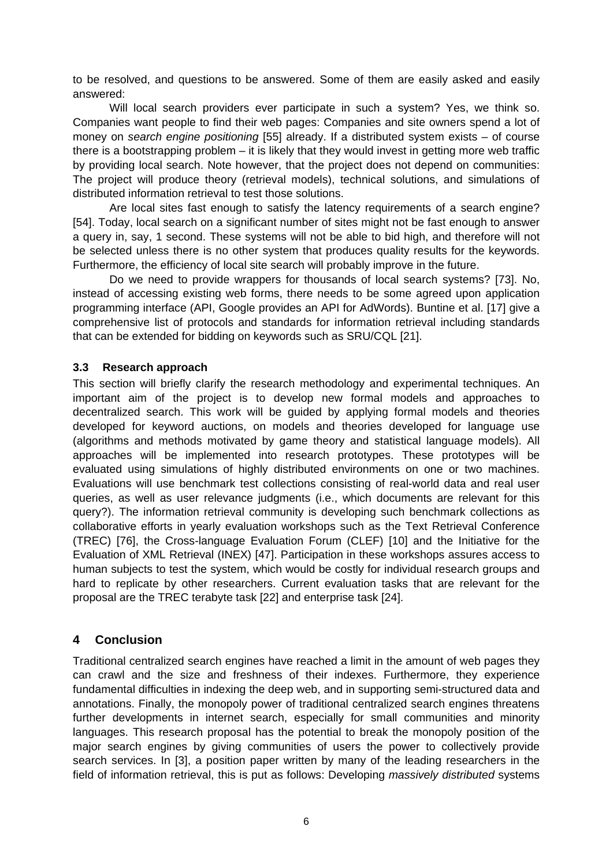to be resolved, and questions to be answered. Some of them are easily asked and easily answered:

Will local search providers ever participate in such a system? Yes, we think so. Companies want people to find their web pages: Companies and site owners spend a lot of money on *search engine positioning* [\[55\]](#page-9-13) already. If a distributed system exists – of course there is a bootstrapping problem – it is likely that they would invest in getting more web traffic by providing local search. Note however, that the project does not depend on communities: The project will produce theory (retrieval models), technical solutions, and simulations of distributed information retrieval to test those solutions.

Are local sites fast enough to satisfy the latency requirements of a search engine? [\[54\]](#page-9-0). Today, local search on a significant number of sites might not be fast enough to answer a query in, say, 1 second. These systems will not be able to bid high, and therefore will not be selected unless there is no other system that produces quality results for the keywords. Furthermore, the efficiency of local site search will probably improve in the future.

Do we need to provide wrappers for thousands of local search systems? [\[73\].](#page-10-3) No, instead of accessing existing web forms, there needs to be some agreed upon application programming interface (API, Google provides an API for AdWords). Buntine et al. [\[17\]](#page-7-13) give a comprehensive list of protocols and standards for information retrieval including standards that can be extended for bidding on keywords such as SRU/CQL [\[21\]](#page-7-14).

#### **3.3 Research approach**

This section will briefly clarify the research methodology and experimental techniques. An important aim of the project is to develop new formal models and approaches to decentralized search. This work will be guided by applying formal models and theories developed for keyword auctions, on models and theories developed for language use (algorithms and methods motivated by game theory and statistical language models). All approaches will be implemented into research prototypes. These prototypes will be evaluated using simulations of highly distributed environments on one or two machines. Evaluations will use benchmark test collections consisting of real-world data and real user queries, as well as user relevance judgments (i.e., which documents are relevant for this query?). The information retrieval community is developing such benchmark collections as collaborative efforts in yearly evaluation workshops such as the Text Retrieval Conference (TREC) [\[76\],](#page-10-10) the Cross-language Evaluation Forum (CLEF) [\[10\]](#page-7-15) and the Initiative for the Evaluation of XML Retrieval (INEX) [\[47\]](#page-8-16). Participation in these workshops assures access to human subjects to test the system, which would be costly for individual research groups and hard to replicate by other researchers. Current evaluation tasks that are relevant for the proposal are the TREC terabyte task [\[22\]](#page-7-16) and enterprise task [\[24\].](#page-7-17)

### <span id="page-5-0"></span>**4 Conclusion**

Traditional centralized search engines have reached a limit in the amount of web pages they can crawl and the size and freshness of their indexes. Furthermore, they experience fundamental difficulties in indexing the deep web, and in supporting semi-structured data and annotations. Finally, the monopoly power of traditional centralized search engines threatens further developments in internet search, especially for small communities and minority languages. This research proposal has the potential to break the monopoly position of the major search engines by giving communities of users the power to collectively provide search services. In [\[3\]](#page-6-1), a position paper written by many of the leading researchers in the field of information retrieval, this is put as follows: Developing *massively distributed* systems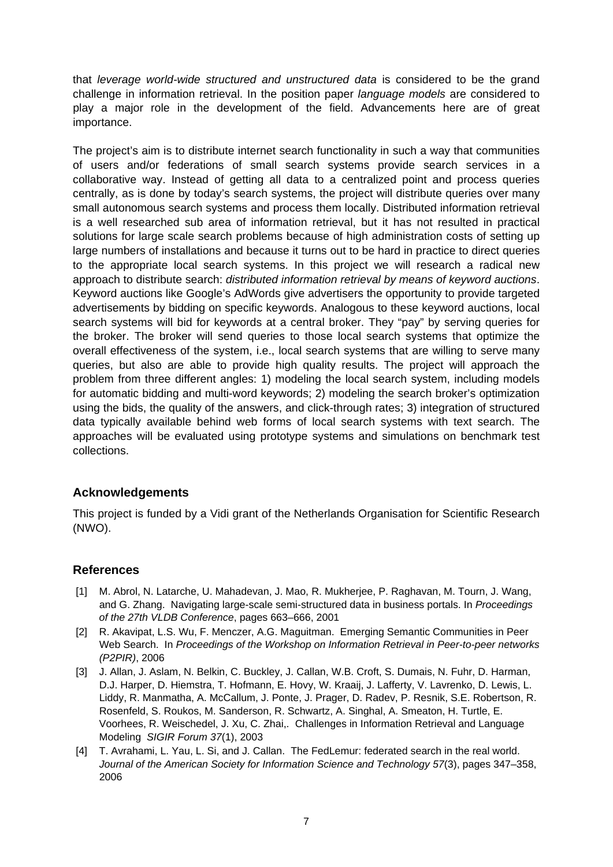that *leverage world-wide structured and unstructured data* is considered to be the grand challenge in information retrieval. In the position paper *language models* are considered to play a major role in the development of the field. Advancements here are of great importance.

The project's aim is to distribute internet search functionality in such a way that communities of users and/or federations of small search systems provide search services in a collaborative way. Instead of getting all data to a centralized point and process queries centrally, as is done by today's search systems, the project will distribute queries over many small autonomous search systems and process them locally. Distributed information retrieval is a well researched sub area of information retrieval, but it has not resulted in practical solutions for large scale search problems because of high administration costs of setting up large numbers of installations and because it turns out to be hard in practice to direct queries to the appropriate local search systems. In this project we will research a radical new approach to distribute search: *distributed information retrieval by means of keyword auctions*. Keyword auctions like Google's AdWords give advertisers the opportunity to provide targeted advertisements by bidding on specific keywords. Analogous to these keyword auctions, local search systems will bid for keywords at a central broker. They "pay" by serving queries for the broker. The broker will send queries to those local search systems that optimize the overall effectiveness of the system, i.e., local search systems that are willing to serve many queries, but also are able to provide high quality results. The project will approach the problem from three different angles: 1) modeling the local search system, including models for automatic bidding and multi-word keywords; 2) modeling the search broker's optimization using the bids, the quality of the answers, and click-through rates; 3) integration of structured data typically available behind web forms of local search systems with text search. The approaches will be evaluated using prototype systems and simulations on benchmark test collections.

### **Acknowledgements**

This project is funded by a Vidi grant of the Netherlands Organisation for Scientific Research (NWO).

## **References**

- [1] M. Abrol, N. Latarche, U. Mahadevan, J. Mao, R. Mukherjee, P. Raghavan, M. Tourn, J. Wang, and G. Zhang. Navigating large-scale semi-structured data in business portals. In *Proceedings of the 27th VLDB Conference*, pages 663–666, 2001
- [2] R. Akavipat, L.S. Wu, F. Menczer, A.G. Maguitman. Emerging Semantic Communities in Peer Web Search. In *Proceedings of the Workshop on Information Retrieval in Peer-to-peer networks (P2PIR)*, 2006
- <span id="page-6-1"></span>[3] J. Allan, J. Aslam, N. Belkin, C. Buckley, J. Callan, W.B. Croft, S. Dumais, N. Fuhr, D. Harman, D.J. Harper, D. Hiemstra, T. Hofmann, E. Hovy, W. Kraaij, J. Lafferty, V. Lavrenko, D. Lewis, L. Liddy, R. Manmatha, A. McCallum, J. Ponte, J. Prager, D. Radev, P. Resnik, S.E. Robertson, R. Rosenfeld, S. Roukos, M. Sanderson, R. Schwartz, A. Singhal, A. Smeaton, H. Turtle, E. Voorhees, R. Weischedel, J. Xu, C. Zhai,. Challenges in Information Retrieval and Language Modeling *SIGIR Forum 37*(1), 2003
- <span id="page-6-0"></span>[4] T. Avrahami, L. Yau, L. Si, and J. Callan. The FedLemur: federated search in the real world. *Journal of the American Society for Information Science and Technology 57*(3), pages 347–358, 2006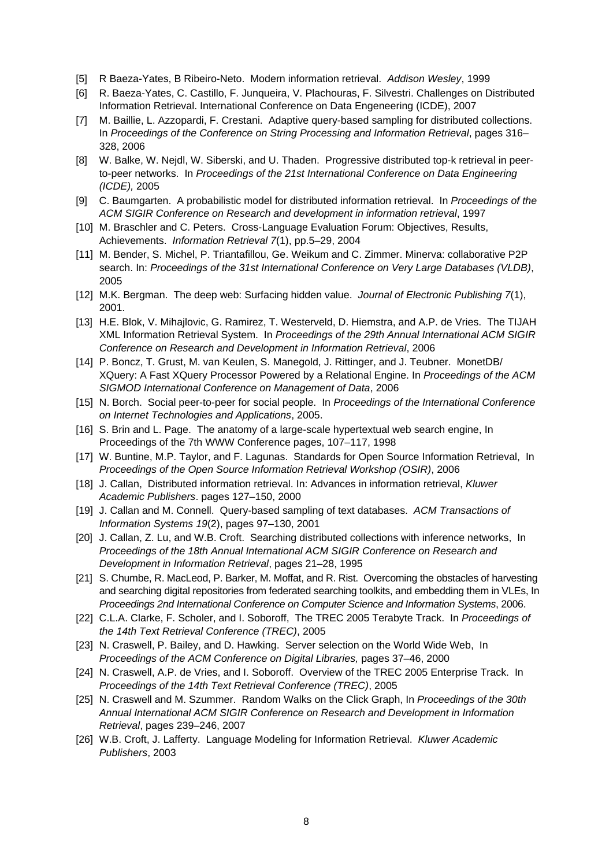- <span id="page-7-9"></span>[5] R Baeza-Yates, B Ribeiro-Neto. Modern information retrieval. *Addison Wesley*, 1999
- <span id="page-7-7"></span>[6] R. Baeza-Yates, C. Castillo, F. Junqueira, V. Plachouras, F. Silvestri. Challenges on Distributed Information Retrieval. International Conference on Data Engeneering (ICDE), 2007
- <span id="page-7-4"></span>[7] M. Baillie, L. Azzopardi, F. Crestani. Adaptive query-based sampling for distributed collections. In *Proceedings of the Conference on String Processing and Information Retrieval*, pages 316– 328, 2006
- <span id="page-7-12"></span>[8] W. Balke, W. Nejdl, W. Siberski, and U. Thaden. Progressive distributed top-k retrieval in peerto-peer networks. In *Proceedings of the 21st International Conference on Data Engineering (ICDE),* 2005
- [9] C. Baumgarten. A probabilistic model for distributed information retrieval. In *Proceedings of the ACM SIGIR Conference on Research and development in information retrieval*, 1997
- <span id="page-7-15"></span>[10] M. Braschler and C. Peters. Cross-Language Evaluation Forum: Objectives, Results, Achievements. *Information Retrieval 7*(1), pp.5–29, 2004
- <span id="page-7-5"></span>[11] M. Bender, S. Michel, P. Triantafillou, Ge. Weikum and C. Zimmer. Minerva: collaborative P2P search. In: *Proceedings of the 31st International Conference on Very Large Databases (VLDB)*, 2005
- <span id="page-7-0"></span>[12] M.K. Bergman. The deep web: Surfacing hidden value. *Journal of Electronic Publishing 7*(1), 2001.
- [13] H.E. Blok, V. Mihajlovic, G. Ramirez, T. Westerveld, D. Hiemstra, and A.P. de Vries. The TIJAH XML Information Retrieval System. In *Proceedings of the 29th Annual International ACM SIGIR Conference on Research and Development in Information Retrieval*, 2006
- [14] P. Boncz, T. Grust, M. van Keulen, S. Manegold, J. Rittinger, and J. Teubner. MonetDB/ XQuery: A Fast XQuery Processor Powered by a Relational Engine. In *Proceedings of the ACM SIGMOD International Conference on Management of Data*, 2006
- [15] N. Borch. Social peer-to-peer for social people. In *Proceedings of the International Conference on Internet Technologies and Applications*, 2005.
- <span id="page-7-8"></span>[16] S. Brin and L. Page. The anatomy of a large-scale hypertextual web search engine, In Proceedings of the 7th WWW Conference pages, 107–117, 1998
- <span id="page-7-13"></span>[17] W. Buntine, M.P. Taylor, and F. Lagunas. Standards for Open Source Information Retrieval, In *Proceedings of the Open Source Information Retrieval Workshop (OSIR)*, 2006
- <span id="page-7-1"></span>[18] J. Callan, Distributed information retrieval. In: Advances in information retrieval, *Kluwer Academic Publishers*. pages 127–150, 2000
- <span id="page-7-2"></span>[19] J. Callan and M. Connell. Query-based sampling of text databases. *ACM Transactions of Information Systems 19*(2), pages 97–130, 2001
- <span id="page-7-6"></span>[20] J. Callan, Z. Lu, and W.B. Croft. Searching distributed collections with inference networks. In *Proceedings of the 18th Annual International ACM SIGIR Conference on Research and Development in Information Retrieval*, pages 21–28, 1995
- <span id="page-7-14"></span>[21] S. Chumbe, R. MacLeod, P. Barker, M. Moffat, and R. Rist. Overcoming the obstacles of harvesting and searching digital repositories from federated searching toolkits, and embedding them in VLEs, In *Proceedings 2nd International Conference on Computer Science and Information Systems*, 2006.
- <span id="page-7-16"></span>[22] C.L.A. Clarke, F. Scholer, and I. Soboroff, The TREC 2005 Terabyte Track. In *Proceedings of the 14th Text Retrieval Conference (TREC)*, 2005
- <span id="page-7-3"></span>[23] N. Craswell, P. Bailey, and D. Hawking. Server selection on the World Wide Web, In *Proceedings of the ACM Conference on Digital Libraries,* pages 37–46, 2000
- <span id="page-7-17"></span>[24] N. Craswell, A.P. de Vries, and I. Soboroff. Overview of the TREC 2005 Enterprise Track. In *Proceedings of the 14th Text Retrieval Conference (TREC)*, 2005
- <span id="page-7-11"></span>[25] N. Craswell and M. Szummer. Random Walks on the Click Graph, In *Proceedings of the 30th Annual International ACM SIGIR Conference on Research and Development in Information Retrieval*, pages 239–246, 2007
- <span id="page-7-10"></span>[26] W.B. Croft, J. Lafferty. Language Modeling for Information Retrieval. *Kluwer Academic Publishers*, 2003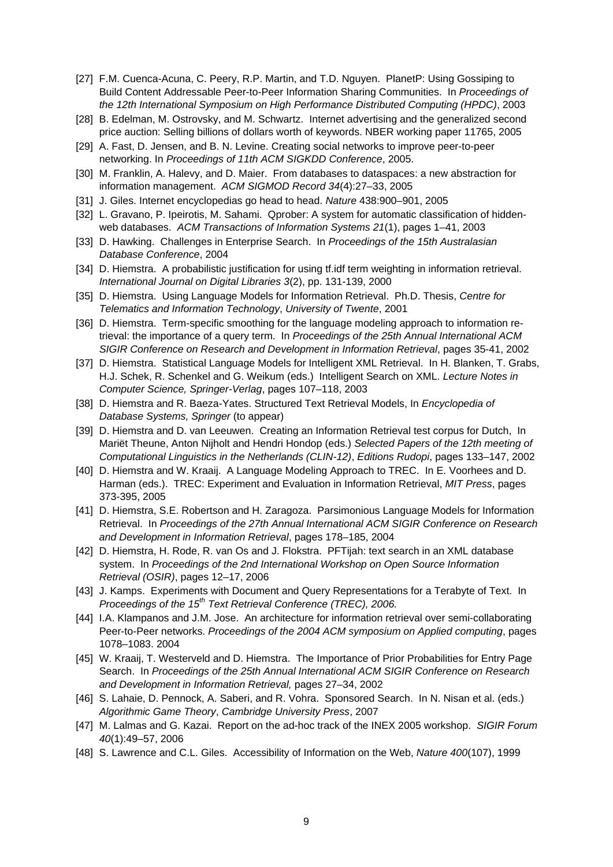- <span id="page-8-3"></span>[27] F.M. Cuenca-Acuna, C. Peery, R.P. Martin, and T.D. Nguyen. PlanetP: Using Gossiping to Build Content Addressable Peer-to-Peer Information Sharing Communities. In *Proceedings of the 12th International Symposium on High Performance Distributed Computing (HPDC)*, 2003
- <span id="page-8-6"></span>[28] B. Edelman, M. Ostrovsky, and M. Schwartz. Internet advertising and the generalized second price auction: Selling billions of dollars worth of keywords. NBER working paper 11765, 2005
- [29] A. Fast, D. Jensen, and B. N. Levine. Creating social networks to improve peer-to-peer networking. In *Proceedings of 11th ACM SIGKDD Conference*, 2005.
- <span id="page-8-13"></span>[30] M. Franklin, A. Halevy, and D. Maier. From databases to dataspaces: a new abstraction for information management. *ACM SIGMOD Record 34*(4):27–33, 2005
- <span id="page-8-0"></span>[31] J. Giles. Internet encyclopedias go head to head. *Nature* 438:900–901, 2005
- <span id="page-8-2"></span>[32] L. Gravano, P. Ipeirotis, M. Sahami. Qprober: A system for automatic classification of hiddenweb databases. *ACM Transactions of Information Systems 21*(1), pages 1–41, 2003
- [33] D. Hawking. Challenges in Enterprise Search. In *Proceedings of the 15th Australasian Database Conference*, 2004
- <span id="page-8-4"></span>[34] D. Hiemstra. A probabilistic justification for using tf.idf term weighting in information retrieval. *International Journal on Digital Libraries 3*(2), pp. 131-139, 2000
- <span id="page-8-7"></span>[35] D. Hiemstra. Using Language Models for Information Retrieval. Ph.D. Thesis, *Centre for Telematics and Information Technology*, *University of Twente*, 2001
- <span id="page-8-8"></span>[36] D. Hiemstra. Term-specific smoothing for the language modeling approach to information retrieval: the importance of a query term. In *Proceedings of the 25th Annual International ACM SIGIR Conference on Research and Development in Information Retrieval*, pages 35-41, 2002
- <span id="page-8-9"></span>[37] D. Hiemstra. Statistical Language Models for Intelligent XML Retrieval. In H. Blanken, T. Grabs, H.J. Schek, R. Schenkel and G. Weikum (eds.) Intelligent Search on XML. *Lecture Notes in Computer Science, Springer-Verlag*, pages 107–118, 2003
- <span id="page-8-14"></span>[38] D. Hiemstra and R. Baeza-Yates. Structured Text Retrieval Models, In *Encyclopedia of Database Systems, Springer* (to appear)
- [39] D. Hiemstra and D. van Leeuwen. Creating an Information Retrieval test corpus for Dutch, In Mariët Theune, Anton Nijholt and Hendri Hondop (eds.) *Selected Papers of the 12th meeting of Computational Linguistics in the Netherlands (CLIN-12)*, *Editions Rudopi*, pages 133–147, 2002
- <span id="page-8-10"></span>[40] D. Hiemstra and W. Kraaij. A Language Modeling Approach to TREC. In E. Voorhees and D. Harman (eds.). TREC: Experiment and Evaluation in Information Retrieval, *MIT Press*, pages 373-395, 2005
- <span id="page-8-11"></span>[41] D. Hiemstra, S.E. Robertson and H. Zaragoza. Parsimonious Language Models for Information Retrieval. In *Proceedings of the 27th Annual International ACM SIGIR Conference on Research and Development in Information Retrieval*, pages 178–185, 2004
- <span id="page-8-15"></span>[42] D. Hiemstra, H. Rode, R. van Os and J. Flokstra. PFTijah: text search in an XML database system. In *Proceedings of the 2nd International Workshop on Open Source Information Retrieval (OSIR)*, pages 12–17, 2006
- <span id="page-8-12"></span>[43] J. Kamps. Experiments with Document and Query Representations for a Terabyte of Text. In *Proceedings of the 15th Text Retrieval Conference (TREC), 2006.*
- [44] I.A. Klampanos and J.M. Jose. An architecture for information retrieval over semi-collaborating Peer-to-Peer networks. *Proceedings of the 2004 ACM symposium on Applied computing*, pages 1078–1083. 2004
- [45] W. Kraaij, T. Westerveld and D. Hiemstra. The Importance of Prior Probabilities for Entry Page Search. In *Proceedings of the 25th Annual International ACM SIGIR Conference on Research and Development in Information Retrieval,* pages 27–34, 2002
- <span id="page-8-5"></span>[46] S. Lahaie, D. Pennock, A. Saberi, and R. Vohra. Sponsored Search. In N. Nisan et al. (eds.) *Algorithmic Game Theory*, *Cambridge University Press*, 2007
- <span id="page-8-16"></span>[47] M. Lalmas and G. Kazai. Report on the ad-hoc track of the INEX 2005 workshop. *SIGIR Forum 40*(1):49–57, 2006
- <span id="page-8-1"></span>[48] S. Lawrence and C.L. Giles. Accessibility of Information on the Web, *Nature 400*(107), 1999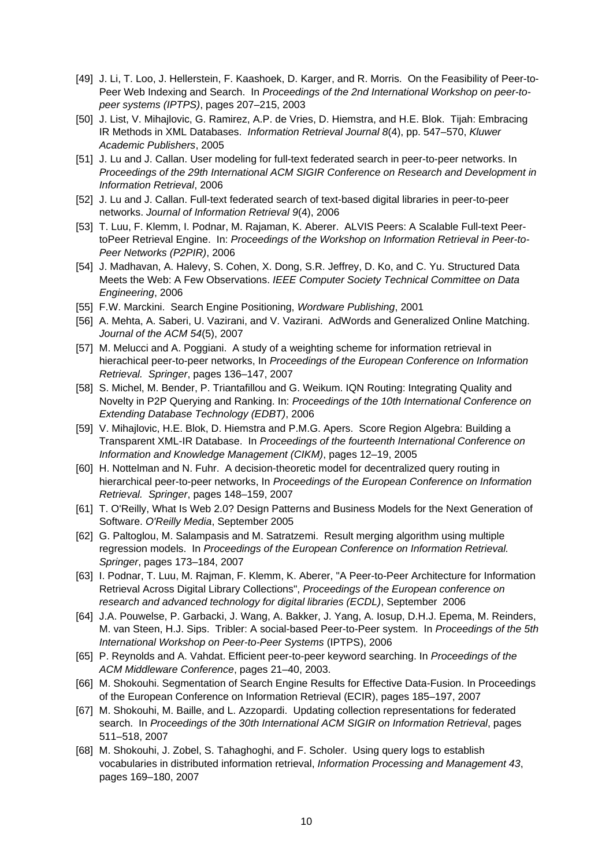- <span id="page-9-5"></span>[49] J. Li, T. Loo, J. Hellerstein, F. Kaashoek, D. Karger, and R. Morris. On the Feasibility of Peer-to-Peer Web Indexing and Search. In *Proceedings of the 2nd International Workshop on peer-topeer systems (IPTPS)*, pages 207–215, 2003
- [50] J. List, V. Mihajlovic, G. Ramirez, A.P. de Vries, D. Hiemstra, and H.E. Blok. Tijah: Embracing IR Methods in XML Databases. *Information Retrieval Journal 8*(4), pp. 547–570, *Kluwer Academic Publishers*, 2005
- [51] J. Lu and J. Callan. User modeling for full-text federated search in peer-to-peer networks. In *Proceedings of the 29th International ACM SIGIR Conference on Research and Development in Information Retrieval*, 2006
- [52] J. Lu and J. Callan. Full-text federated search of text-based digital libraries in peer-to-peer networks. *Journal of Information Retrieval 9*(4), 2006
- <span id="page-9-4"></span>[53] T. Luu, F. Klemm, I. Podnar, M. Rajaman, K. Aberer. ALVIS Peers: A Scalable Full-text PeertoPeer Retrieval Engine. In: *Proceedings of the Workshop on Information Retrieval in Peer-to-Peer Networks (P2PIR)*, 2006
- <span id="page-9-0"></span>[54] J. Madhavan, A. Halevy, S. Cohen, X. Dong, S.R. Jeffrey, D. Ko, and C. Yu. Structured Data Meets the Web: A Few Observations. *IEEE Computer Society Technical Committee on Data Engineering*, 2006
- <span id="page-9-13"></span>[55] F.W. Marckini. Search Engine Positioning, *Wordware Publishing*, 2001
- <span id="page-9-9"></span>[56] A. Mehta, A. Saberi, U. Vazirani, and V. Vazirani. AdWords and Generalized Online Matching. *Journal of the ACM 54*(5), 2007
- <span id="page-9-6"></span>[57] M. Melucci and A. Poggiani. A study of a weighting scheme for information retrieval in hierachical peer-to-peer networks, In *Proceedings of the European Conference on Information Retrieval. Springer*, pages 136–147, 2007
- [58] S. Michel, M. Bender, P. Triantafillou and G. Weikum. IQN Routing: Integrating Quality and Novelty in P2P Querying and Ranking. In: *Proceedings of the 10th International Conference on Extending Database Technology (EDBT)*, 2006
- <span id="page-9-12"></span>[59] V. Mihajlovic, H.E. Blok, D. Hiemstra and P.M.G. Apers. Score Region Algebra: Building a Transparent XML-IR Database. In *Proceedings of the fourteenth International Conference on Information and Knowledge Management (CIKM)*, pages 12–19, 2005
- <span id="page-9-7"></span>[60] H. Nottelman and N. Fuhr. A decision-theoretic model for decentralized query routing in hierarchical peer-to-peer networks, In *Proceedings of the European Conference on Information Retrieval. Springer*, pages 148–159, 2007
- <span id="page-9-10"></span>[61] T. O'Reilly, What Is Web 2.0? Design Patterns and Business Models for the Next Generation of Software. *O'Reilly Media*, September 2005
- <span id="page-9-8"></span>[62] G. Paltoglou, M. Salampasis and M. Satratzemi. Result merging algorithm using multiple regression models. In *Proceedings of the European Conference on Information Retrieval. Springer*, pages 173–184, 2007
- <span id="page-9-11"></span>[63] I. Podnar, T. Luu, M. Rajman, F. Klemm, K. Aberer, "A Peer-to-Peer Architecture for Information Retrieval Across Digital Library Collections", *Proceedings of the European conference on research and advanced technology for digital libraries (ECDL)*, September 2006
- <span id="page-9-3"></span>[64] J.A. Pouwelse, P. Garbacki, J. Wang, A. Bakker, J. Yang, A. Iosup, D.H.J. Epema, M. Reinders, M. van Steen, H.J. Sips. Tribler: A social-based Peer-to-Peer system. In *Proceedings of the 5th International Workshop on Peer-to-Peer Systems* (IPTPS), 2006
- [65] P. Reynolds and A. Vahdat. Efficient peer-to-peer keyword searching. In *Proceedings of the ACM Middleware Conference*, pages 21–40, 2003.
- [66] M. Shokouhi. Segmentation of Search Engine Results for Effective Data-Fusion. In Proceedings of the European Conference on Information Retrieval (ECIR), pages 185–197, 2007
- <span id="page-9-1"></span>[67] M. Shokouhi, M. Baille, and L. Azzopardi. Updating collection representations for federated search. In *Proceedings of the 30th International ACM SIGIR on Information Retrieval*, pages 511–518, 2007
- <span id="page-9-2"></span>[68] M. Shokouhi, J. Zobel, S. Tahaghoghi, and F. Scholer. Using query logs to establish vocabularies in distributed information retrieval, *Information Processing and Management 43*, pages 169–180, 2007